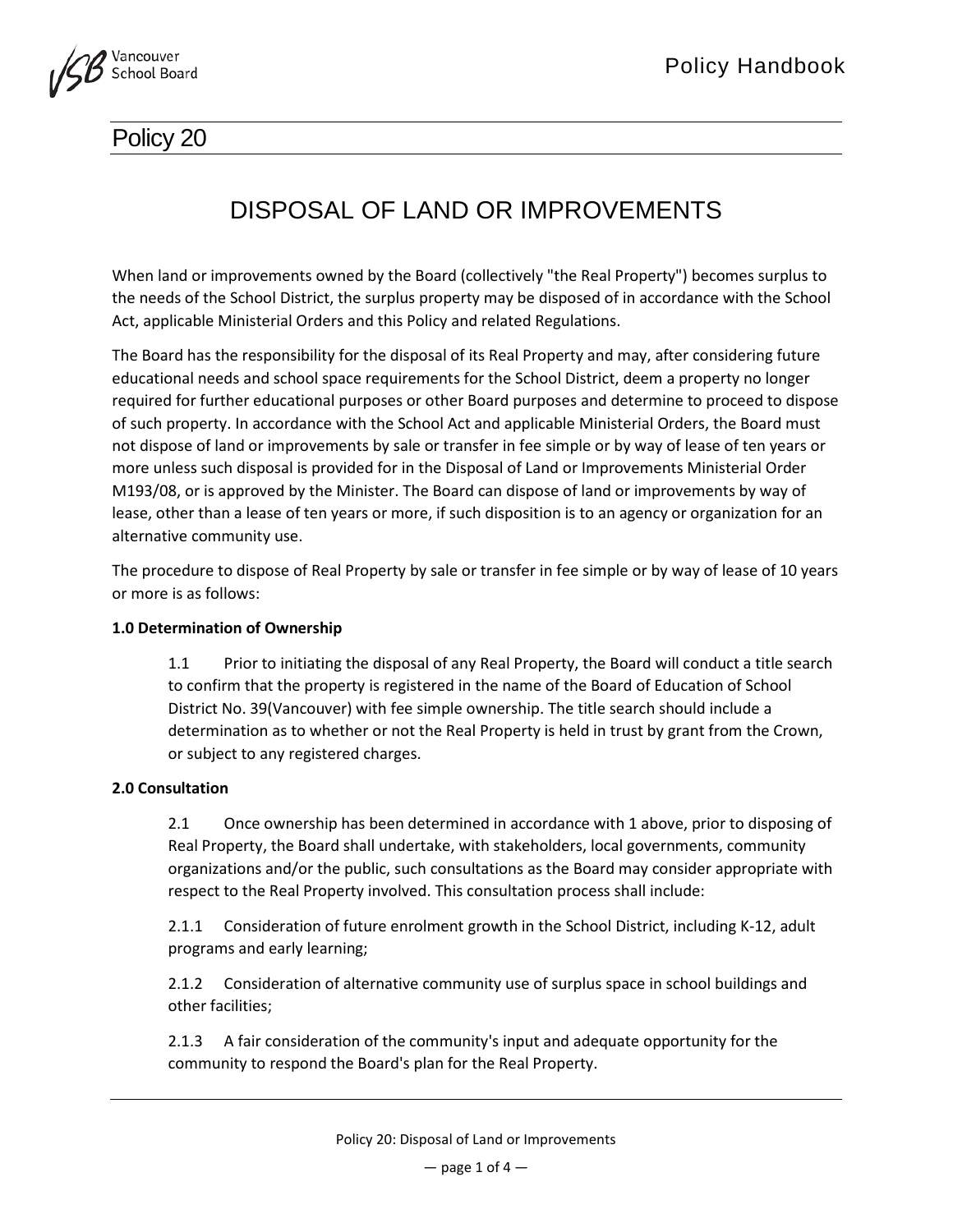

# Policy 20

# DISPOSAL OF LAND OR IMPROVEMENTS

When land or improvements owned by the Board (collectively "the Real Property") becomes surplus to the needs of the School District, the surplus property may be disposed of in accordance with the School Act, applicable Ministerial Orders and this Policy and related Regulations.

The Board has the responsibility for the disposal of its Real Property and may, after considering future educational needs and school space requirements for the School District, deem a property no longer required for further educational purposes or other Board purposes and determine to proceed to dispose of such property. In accordance with the School Act and applicable Ministerial Orders, the Board must not dispose of land or improvements by sale or transfer in fee simple or by way of lease of ten years or more unless such disposal is provided for in the Disposal of Land or Improvements Ministerial Order M193/08, or is approved by the Minister. The Board can dispose of land or improvements by way of lease, other than a lease of ten years or more, if such disposition is to an agency or organization for an alternative community use.

The procedure to dispose of Real Property by sale or transfer in fee simple or by way of lease of 10 years or more is as follows:

# **1.0 Determination of Ownership**

1.1 Prior to initiating the disposal of any Real Property, the Board will conduct a title search to confirm that the property is registered in the name of the Board of Education of School District No. 39(Vancouver) with fee simple ownership. The title search should include a determination as to whether or not the Real Property is held in trust by grant from the Crown, or subject to any registered charges.

# **2.0 Consultation**

2.1 Once ownership has been determined in accordance with 1 above, prior to disposing of Real Property, the Board shall undertake, with stakeholders, local governments, community organizations and/or the public, such consultations as the Board may consider appropriate with respect to the Real Property involved. This consultation process shall include:

2.1.1 Consideration of future enrolment growth in the School District, including K-12, adult programs and early learning;

2.1.2 Consideration of alternative community use of surplus space in school buildings and other facilities;

2.1.3 A fair consideration of the community's input and adequate opportunity for the community to respond the Board's plan for the Real Property.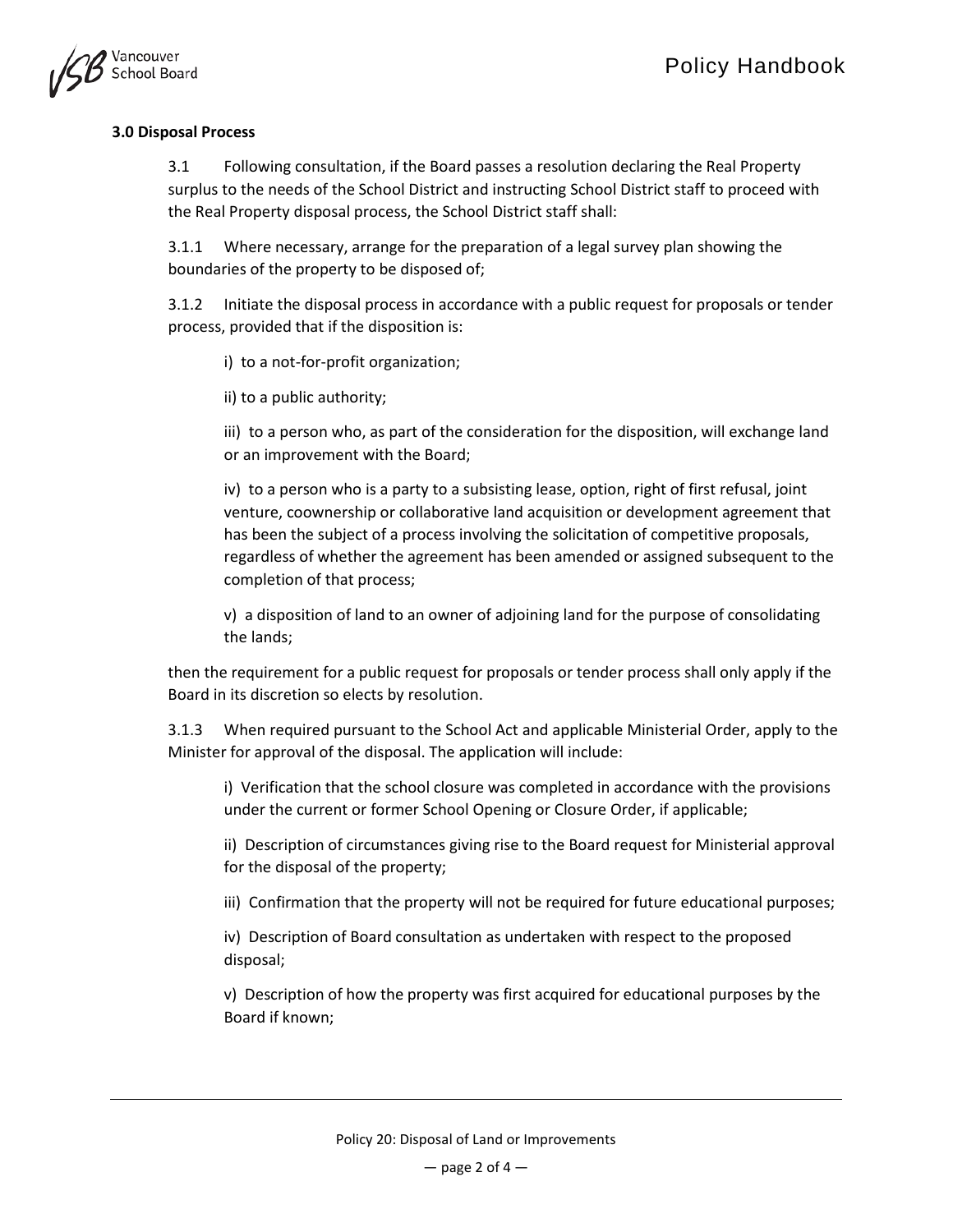

# **3.0 Disposal Process**

3.1 Following consultation, if the Board passes a resolution declaring the Real Property surplus to the needs of the School District and instructing School District staff to proceed with the Real Property disposal process, the School District staff shall:

3.1.1 Where necessary, arrange for the preparation of a legal survey plan showing the boundaries of the property to be disposed of;

3.1.2 Initiate the disposal process in accordance with a public request for proposals or tender process, provided that if the disposition is:

i) to a not-for-profit organization;

ii) to a public authority;

iii) to a person who, as part of the consideration for the disposition, will exchange land or an improvement with the Board;

iv) to a person who is a party to a subsisting lease, option, right of first refusal, joint venture, coownership or collaborative land acquisition or development agreement that has been the subject of a process involving the solicitation of competitive proposals, regardless of whether the agreement has been amended or assigned subsequent to the completion of that process;

v) a disposition of land to an owner of adjoining land for the purpose of consolidating the lands;

then the requirement for a public request for proposals or tender process shall only apply if the Board in its discretion so elects by resolution.

3.1.3 When required pursuant to the School Act and applicable Ministerial Order, apply to the Minister for approval of the disposal. The application will include:

i) Verification that the school closure was completed in accordance with the provisions under the current or former School Opening or Closure Order, if applicable;

ii) Description of circumstances giving rise to the Board request for Ministerial approval for the disposal of the property;

iii) Confirmation that the property will not be required for future educational purposes;

iv) Description of Board consultation as undertaken with respect to the proposed disposal;

v) Description of how the property was first acquired for educational purposes by the Board if known;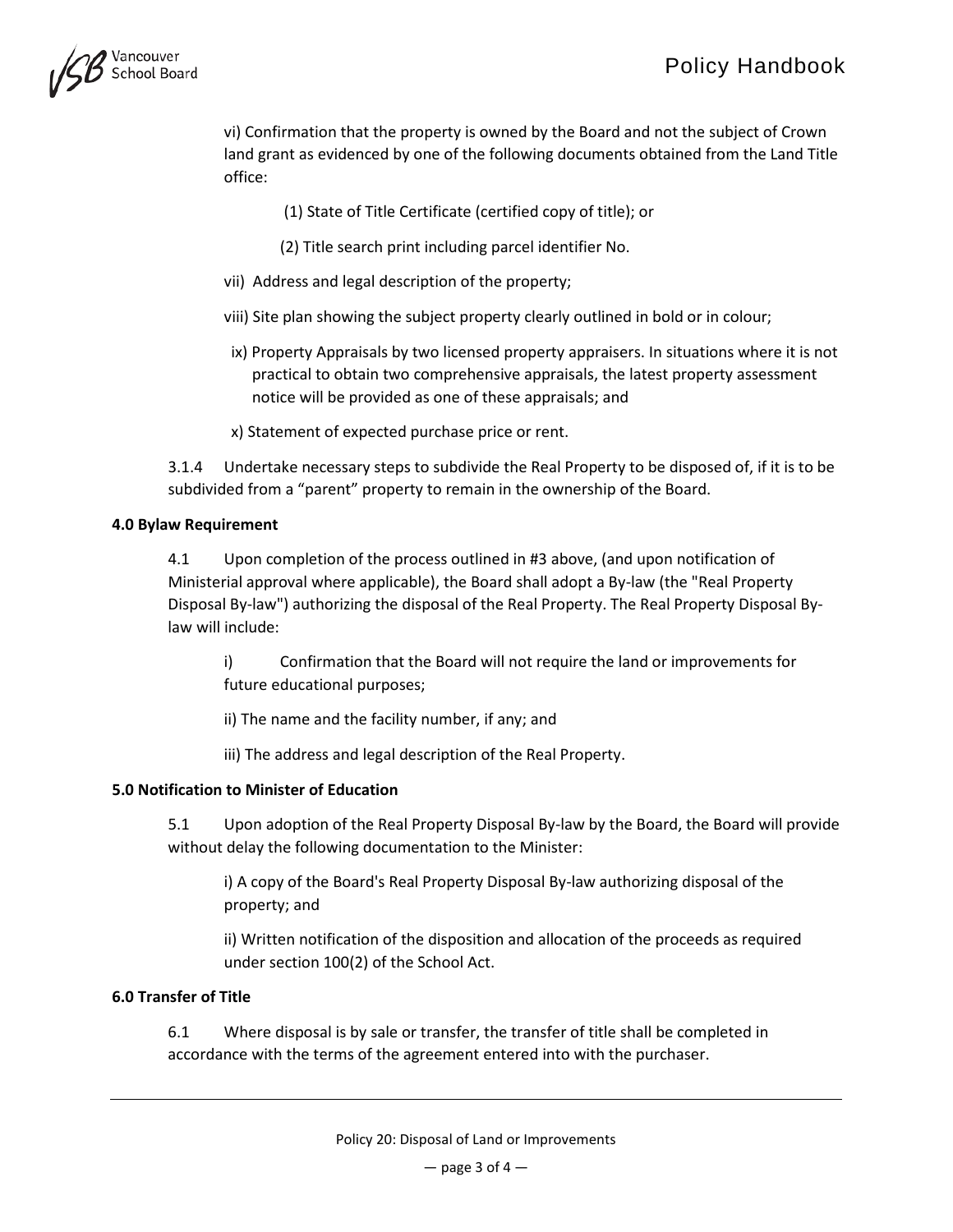

vi) Confirmation that the property is owned by the Board and not the subject of Crown land grant as evidenced by one of the following documents obtained from the Land Title office:

- (1) State of Title Certificate (certified copy of title); or
- (2) Title search print including parcel identifier No.
- vii) Address and legal description of the property;
- viii) Site plan showing the subject property clearly outlined in bold or in colour;
- ix) Property Appraisals by two licensed property appraisers. In situations where it is not practical to obtain two comprehensive appraisals, the latest property assessment notice will be provided as one of these appraisals; and
- x) Statement of expected purchase price or rent.

3.1.4 Undertake necessary steps to subdivide the Real Property to be disposed of, if it is to be subdivided from a "parent" property to remain in the ownership of the Board.

#### **4.0 Bylaw Requirement**

4.1 Upon completion of the process outlined in #3 above, (and upon notification of Ministerial approval where applicable), the Board shall adopt a By-law (the "Real Property Disposal By-law") authorizing the disposal of the Real Property. The Real Property Disposal Bylaw will include:

i) Confirmation that the Board will not require the land or improvements for future educational purposes;

ii) The name and the facility number, if any; and

iii) The address and legal description of the Real Property.

#### **5.0 Notification to Minister of Education**

5.1 Upon adoption of the Real Property Disposal By-law by the Board, the Board will provide without delay the following documentation to the Minister:

i) A copy of the Board's Real Property Disposal By-law authorizing disposal of the property; and

ii) Written notification of the disposition and allocation of the proceeds as required under section 100(2) of the School Act.

#### **6.0 Transfer of Title**

6.1 Where disposal is by sale or transfer, the transfer of title shall be completed in accordance with the terms of the agreement entered into with the purchaser.